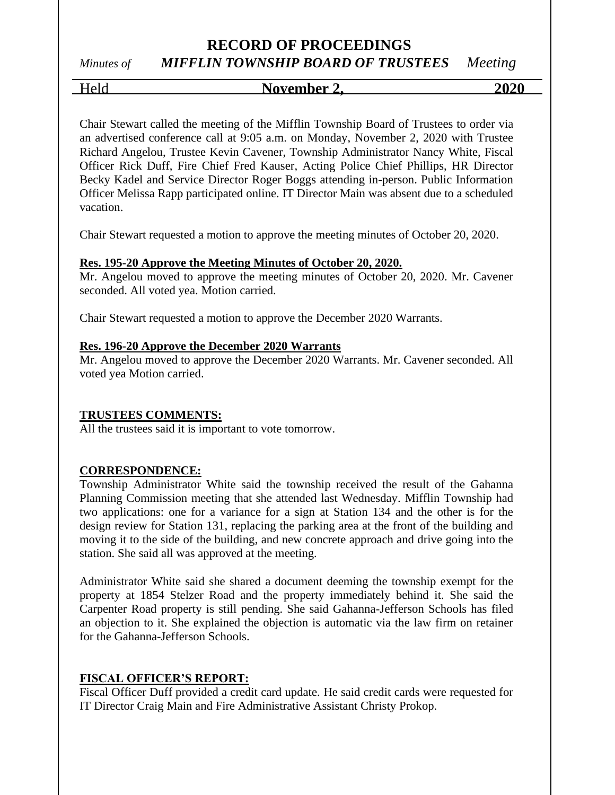# **RECORD OF PROCEEDINGS**

# *Minutes of MIFFLIN TOWNSHIP BOARD OF TRUSTEES Meeting*

Held **November 2, 2020**

Chair Stewart called the meeting of the Mifflin Township Board of Trustees to order via an advertised conference call at 9:05 a.m. on Monday, November 2, 2020 with Trustee Richard Angelou, Trustee Kevin Cavener, Township Administrator Nancy White, Fiscal Officer Rick Duff, Fire Chief Fred Kauser, Acting Police Chief Phillips, HR Director Becky Kadel and Service Director Roger Boggs attending in-person. Public Information Officer Melissa Rapp participated online. IT Director Main was absent due to a scheduled vacation.

Chair Stewart requested a motion to approve the meeting minutes of October 20, 2020.

### **Res. 195-20 Approve the Meeting Minutes of October 20, 2020.**

Mr. Angelou moved to approve the meeting minutes of October 20, 2020. Mr. Cavener seconded. All voted yea. Motion carried.

Chair Stewart requested a motion to approve the December 2020 Warrants.

### **Res. 196-20 Approve the December 2020 Warrants**

Mr. Angelou moved to approve the December 2020 Warrants. Mr. Cavener seconded. All voted yea Motion carried.

### **TRUSTEES COMMENTS:**

All the trustees said it is important to vote tomorrow.

### **CORRESPONDENCE:**

Township Administrator White said the township received the result of the Gahanna Planning Commission meeting that she attended last Wednesday. Mifflin Township had two applications: one for a variance for a sign at Station 134 and the other is for the design review for Station 131, replacing the parking area at the front of the building and moving it to the side of the building, and new concrete approach and drive going into the station. She said all was approved at the meeting.

Administrator White said she shared a document deeming the township exempt for the property at 1854 Stelzer Road and the property immediately behind it. She said the Carpenter Road property is still pending. She said Gahanna-Jefferson Schools has filed an objection to it. She explained the objection is automatic via the law firm on retainer for the Gahanna-Jefferson Schools.

### **FISCAL OFFICER'S REPORT:**

Fiscal Officer Duff provided a credit card update. He said credit cards were requested for IT Director Craig Main and Fire Administrative Assistant Christy Prokop.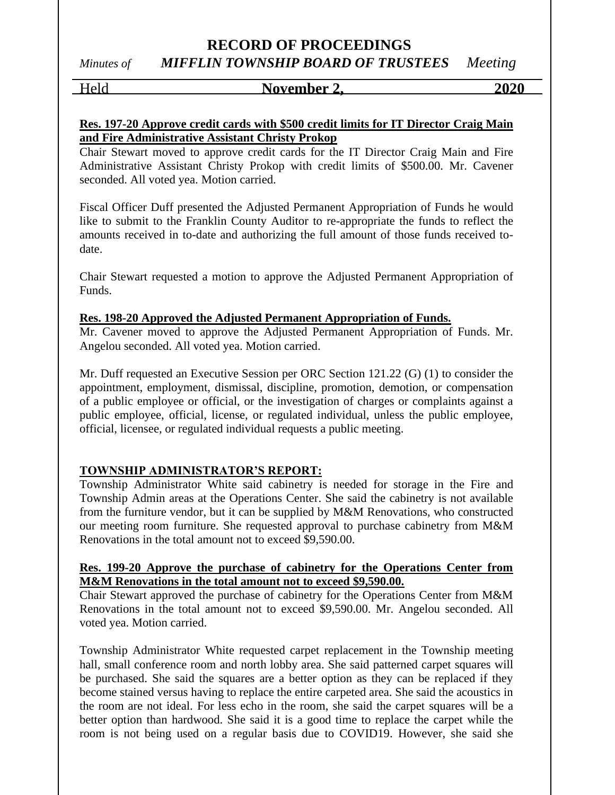### Held **November 2,** 2020

### **Res. 197-20 Approve credit cards with \$500 credit limits for IT Director Craig Main and Fire Administrative Assistant Christy Prokop**

Chair Stewart moved to approve credit cards for the IT Director Craig Main and Fire Administrative Assistant Christy Prokop with credit limits of \$500.00. Mr. Cavener seconded. All voted yea. Motion carried.

Fiscal Officer Duff presented the Adjusted Permanent Appropriation of Funds he would like to submit to the Franklin County Auditor to re-appropriate the funds to reflect the amounts received in to-date and authorizing the full amount of those funds received todate.

Chair Stewart requested a motion to approve the Adjusted Permanent Appropriation of Funds.

### **Res. 198-20 Approved the Adjusted Permanent Appropriation of Funds.**

Mr. Cavener moved to approve the Adjusted Permanent Appropriation of Funds. Mr. Angelou seconded. All voted yea. Motion carried.

Mr. Duff requested an Executive Session per ORC Section 121.22 (G) (1) to consider the appointment, employment, dismissal, discipline, promotion, demotion, or compensation of a public employee or official, or the investigation of charges or complaints against a public employee, official, license, or regulated individual, unless the public employee, official, licensee, or regulated individual requests a public meeting.

### **TOWNSHIP ADMINISTRATOR'S REPORT:**

Township Administrator White said cabinetry is needed for storage in the Fire and Township Admin areas at the Operations Center. She said the cabinetry is not available from the furniture vendor, but it can be supplied by M&M Renovations, who constructed our meeting room furniture. She requested approval to purchase cabinetry from M&M Renovations in the total amount not to exceed \$9,590.00.

### **Res. 199-20 Approve the purchase of cabinetry for the Operations Center from M&M Renovations in the total amount not to exceed \$9,590.00.**

Chair Stewart approved the purchase of cabinetry for the Operations Center from M&M Renovations in the total amount not to exceed \$9,590.00. Mr. Angelou seconded. All voted yea. Motion carried.

Township Administrator White requested carpet replacement in the Township meeting hall, small conference room and north lobby area. She said patterned carpet squares will be purchased. She said the squares are a better option as they can be replaced if they become stained versus having to replace the entire carpeted area. She said the acoustics in the room are not ideal. For less echo in the room, she said the carpet squares will be a better option than hardwood. She said it is a good time to replace the carpet while the room is not being used on a regular basis due to COVID19. However, she said she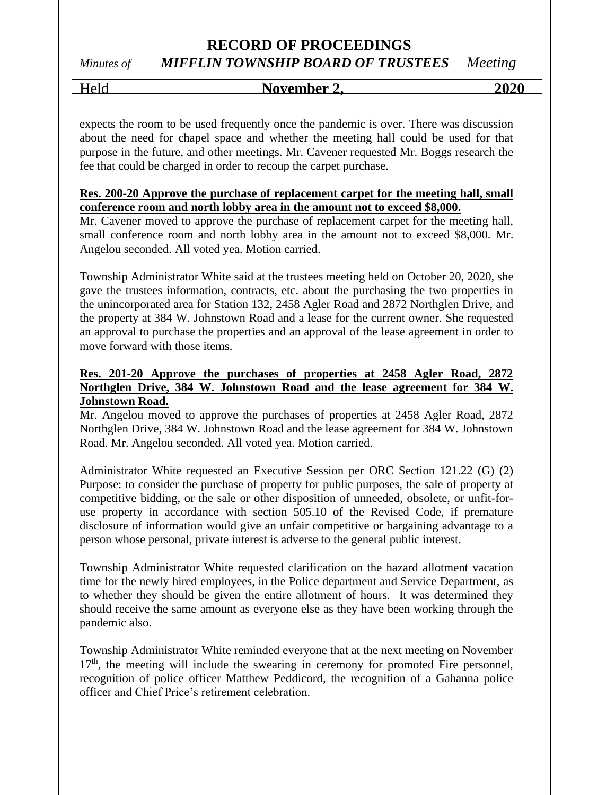# Held **November 2, 2020**

expects the room to be used frequently once the pandemic is over. There was discussion about the need for chapel space and whether the meeting hall could be used for that purpose in the future, and other meetings. Mr. Cavener requested Mr. Boggs research the fee that could be charged in order to recoup the carpet purchase.

### **Res. 200-20 Approve the purchase of replacement carpet for the meeting hall, small conference room and north lobby area in the amount not to exceed \$8,000.**

Mr. Cavener moved to approve the purchase of replacement carpet for the meeting hall, small conference room and north lobby area in the amount not to exceed \$8,000. Mr. Angelou seconded. All voted yea. Motion carried.

Township Administrator White said at the trustees meeting held on October 20, 2020, she gave the trustees information, contracts, etc. about the purchasing the two properties in the unincorporated area for Station 132, 2458 Agler Road and 2872 Northglen Drive, and the property at 384 W. Johnstown Road and a lease for the current owner. She requested an approval to purchase the properties and an approval of the lease agreement in order to move forward with those items.

### **Res. 201-20 Approve the purchases of properties at 2458 Agler Road, 2872 Northglen Drive, 384 W. Johnstown Road and the lease agreement for 384 W. Johnstown Road.**

Mr. Angelou moved to approve the purchases of properties at 2458 Agler Road, 2872 Northglen Drive, 384 W. Johnstown Road and the lease agreement for 384 W. Johnstown Road. Mr. Angelou seconded. All voted yea. Motion carried.

Administrator White requested an Executive Session per ORC Section 121.22 (G) (2) Purpose: to consider the purchase of property for public purposes, the sale of property at competitive bidding, or the sale or other disposition of unneeded, obsolete, or unfit-foruse property in accordance with section 505.10 of the Revised Code, if premature disclosure of information would give an unfair competitive or bargaining advantage to a person whose personal, private interest is adverse to the general public interest.

Township Administrator White requested clarification on the hazard allotment vacation time for the newly hired employees, in the Police department and Service Department, as to whether they should be given the entire allotment of hours. It was determined they should receive the same amount as everyone else as they have been working through the pandemic also.

Township Administrator White reminded everyone that at the next meeting on November  $17<sup>th</sup>$ , the meeting will include the swearing in ceremony for promoted Fire personnel, recognition of police officer Matthew Peddicord, the recognition of a Gahanna police officer and Chief Price's retirement celebration.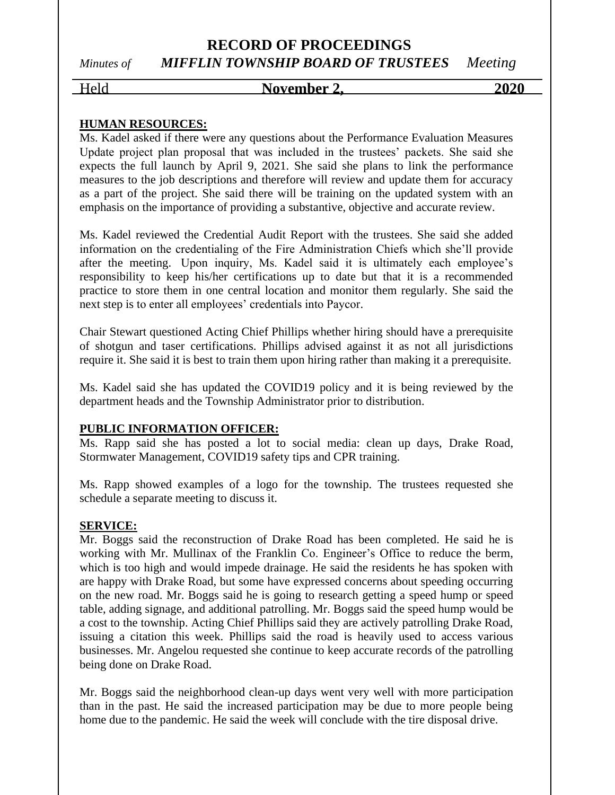### Held **November 2, 2020**

### **HUMAN RESOURCES:**

Ms. Kadel asked if there were any questions about the Performance Evaluation Measures Update project plan proposal that was included in the trustees' packets. She said she expects the full launch by April 9, 2021. She said she plans to link the performance measures to the job descriptions and therefore will review and update them for accuracy as a part of the project. She said there will be training on the updated system with an emphasis on the importance of providing a substantive, objective and accurate review.

Ms. Kadel reviewed the Credential Audit Report with the trustees. She said she added information on the credentialing of the Fire Administration Chiefs which she'll provide after the meeting. Upon inquiry, Ms. Kadel said it is ultimately each employee's responsibility to keep his/her certifications up to date but that it is a recommended practice to store them in one central location and monitor them regularly. She said the next step is to enter all employees' credentials into Paycor.

Chair Stewart questioned Acting Chief Phillips whether hiring should have a prerequisite of shotgun and taser certifications. Phillips advised against it as not all jurisdictions require it. She said it is best to train them upon hiring rather than making it a prerequisite.

Ms. Kadel said she has updated the COVID19 policy and it is being reviewed by the department heads and the Township Administrator prior to distribution.

### **PUBLIC INFORMATION OFFICER:**

Ms. Rapp said she has posted a lot to social media: clean up days, Drake Road, Stormwater Management, COVID19 safety tips and CPR training.

Ms. Rapp showed examples of a logo for the township. The trustees requested she schedule a separate meeting to discuss it.

### **SERVICE:**

Mr. Boggs said the reconstruction of Drake Road has been completed. He said he is working with Mr. Mullinax of the Franklin Co. Engineer's Office to reduce the berm, which is too high and would impede drainage. He said the residents he has spoken with are happy with Drake Road, but some have expressed concerns about speeding occurring on the new road. Mr. Boggs said he is going to research getting a speed hump or speed table, adding signage, and additional patrolling. Mr. Boggs said the speed hump would be a cost to the township. Acting Chief Phillips said they are actively patrolling Drake Road, issuing a citation this week. Phillips said the road is heavily used to access various businesses. Mr. Angelou requested she continue to keep accurate records of the patrolling being done on Drake Road.

Mr. Boggs said the neighborhood clean-up days went very well with more participation than in the past. He said the increased participation may be due to more people being home due to the pandemic. He said the week will conclude with the tire disposal drive.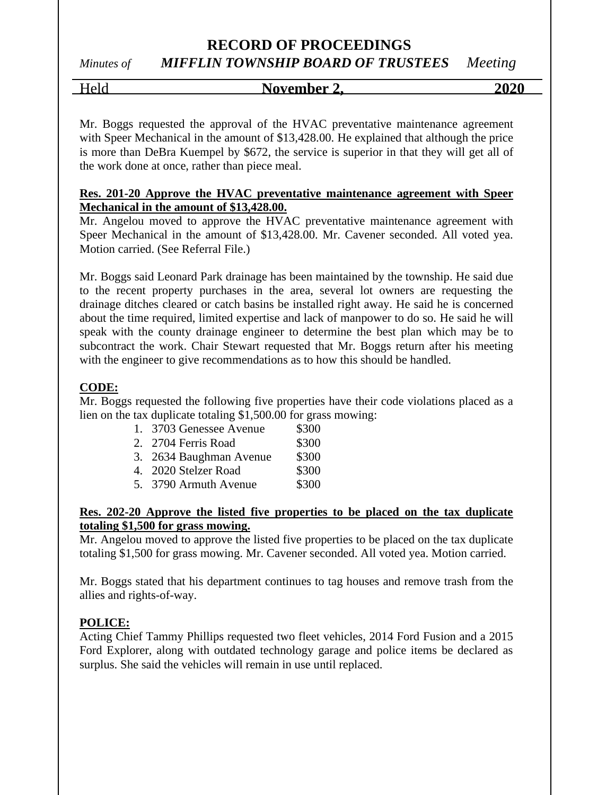# **RECORD OF PROCEEDINGS**

# *Minutes of MIFFLIN TOWNSHIP BOARD OF TRUSTEES Meeting*

Held **November 2, 2020**

Mr. Boggs requested the approval of the HVAC preventative maintenance agreement with Speer Mechanical in the amount of \$13,428.00. He explained that although the price is more than DeBra Kuempel by \$672, the service is superior in that they will get all of the work done at once, rather than piece meal.

### **Res. 201-20 Approve the HVAC preventative maintenance agreement with Speer Mechanical in the amount of \$13,428.00.**

Mr. Angelou moved to approve the HVAC preventative maintenance agreement with Speer Mechanical in the amount of \$13,428.00. Mr. Cavener seconded. All voted yea. Motion carried. (See Referral File.)

Mr. Boggs said Leonard Park drainage has been maintained by the township. He said due to the recent property purchases in the area, several lot owners are requesting the drainage ditches cleared or catch basins be installed right away. He said he is concerned about the time required, limited expertise and lack of manpower to do so. He said he will speak with the county drainage engineer to determine the best plan which may be to subcontract the work. Chair Stewart requested that Mr. Boggs return after his meeting with the engineer to give recommendations as to how this should be handled.

### **CODE:**

Mr. Boggs requested the following five properties have their code violations placed as a lien on the tax duplicate totaling \$1,500.00 for grass mowing:

| 1. 3703 Genessee Avenue | \$300 |
|-------------------------|-------|
| 2. 2704 Ferris Road     | \$300 |

| 3. | 2634 Baughman Avenue | \$300 |
|----|----------------------|-------|
|    |                      |       |

4. 2020 Stelzer Road \$300

5. 3790 Armuth Avenue \$300

### **Res. 202-20 Approve the listed five properties to be placed on the tax duplicate totaling \$1,500 for grass mowing.**

Mr. Angelou moved to approve the listed five properties to be placed on the tax duplicate totaling \$1,500 for grass mowing. Mr. Cavener seconded. All voted yea. Motion carried.

Mr. Boggs stated that his department continues to tag houses and remove trash from the allies and rights-of-way.

### **POLICE:**

Acting Chief Tammy Phillips requested two fleet vehicles, 2014 Ford Fusion and a 2015 Ford Explorer, along with outdated technology garage and police items be declared as surplus. She said the vehicles will remain in use until replaced.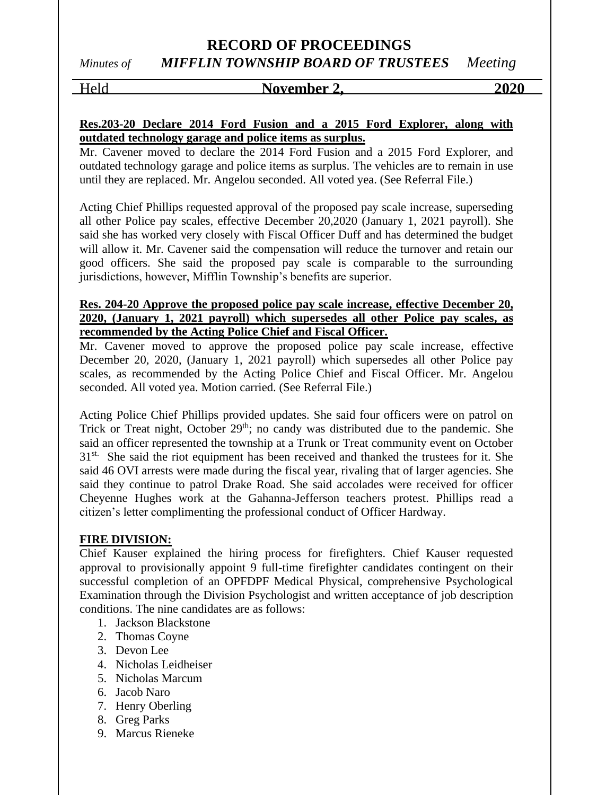### Held **November 2,** 2020

### **Res.203-20 Declare 2014 Ford Fusion and a 2015 Ford Explorer, along with outdated technology garage and police items as surplus.**

Mr. Cavener moved to declare the 2014 Ford Fusion and a 2015 Ford Explorer, and outdated technology garage and police items as surplus. The vehicles are to remain in use until they are replaced. Mr. Angelou seconded. All voted yea. (See Referral File.)

Acting Chief Phillips requested approval of the proposed pay scale increase, superseding all other Police pay scales, effective December 20,2020 (January 1, 2021 payroll). She said she has worked very closely with Fiscal Officer Duff and has determined the budget will allow it. Mr. Cavener said the compensation will reduce the turnover and retain our good officers. She said the proposed pay scale is comparable to the surrounding jurisdictions, however, Mifflin Township's benefits are superior.

### **Res. 204-20 Approve the proposed police pay scale increase, effective December 20, 2020, (January 1, 2021 payroll) which supersedes all other Police pay scales, as recommended by the Acting Police Chief and Fiscal Officer.**

Mr. Cavener moved to approve the proposed police pay scale increase, effective December 20, 2020, (January 1, 2021 payroll) which supersedes all other Police pay scales, as recommended by the Acting Police Chief and Fiscal Officer. Mr. Angelou seconded. All voted yea. Motion carried. (See Referral File.)

Acting Police Chief Phillips provided updates. She said four officers were on patrol on Trick or Treat night, October 29<sup>th</sup>; no candy was distributed due to the pandemic. She said an officer represented the township at a Trunk or Treat community event on October  $31<sup>st</sup>$ . She said the riot equipment has been received and thanked the trustees for it. She said 46 OVI arrests were made during the fiscal year, rivaling that of larger agencies. She said they continue to patrol Drake Road. She said accolades were received for officer Cheyenne Hughes work at the Gahanna-Jefferson teachers protest. Phillips read a citizen's letter complimenting the professional conduct of Officer Hardway.

### **FIRE DIVISION:**

Chief Kauser explained the hiring process for firefighters. Chief Kauser requested approval to provisionally appoint 9 full-time firefighter candidates contingent on their successful completion of an OPFDPF Medical Physical, comprehensive Psychological Examination through the Division Psychologist and written acceptance of job description conditions. The nine candidates are as follows:

- 1. Jackson Blackstone
- 2. Thomas Coyne
- 3. Devon Lee
- 4. Nicholas Leidheiser
- 5. Nicholas Marcum
- 6. Jacob Naro
- 7. Henry Oberling
- 8. Greg Parks
- 9. Marcus Rieneke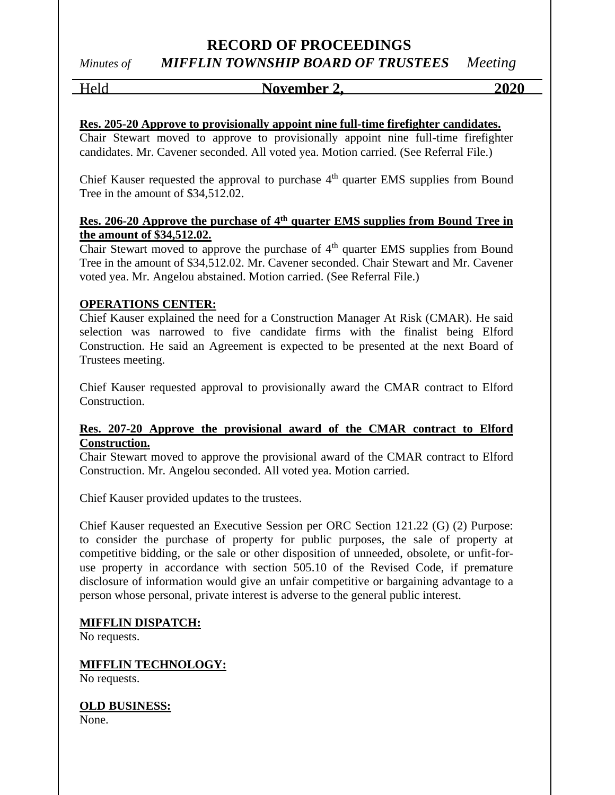## Held **November 2, 2020**

### **Res. 205-20 Approve to provisionally appoint nine full-time firefighter candidates.**

Chair Stewart moved to approve to provisionally appoint nine full-time firefighter candidates. Mr. Cavener seconded. All voted yea. Motion carried. (See Referral File.)

Chief Kauser requested the approval to purchase  $4<sup>th</sup>$  quarter EMS supplies from Bound Tree in the amount of \$34,512.02.

### **Res. 206-20 Approve the purchase of 4th quarter EMS supplies from Bound Tree in the amount of \$34,512.02.**

Chair Stewart moved to approve the purchase of  $4<sup>th</sup>$  quarter EMS supplies from Bound Tree in the amount of \$34,512.02. Mr. Cavener seconded. Chair Stewart and Mr. Cavener voted yea. Mr. Angelou abstained. Motion carried. (See Referral File.)

### **OPERATIONS CENTER:**

Chief Kauser explained the need for a Construction Manager At Risk (CMAR). He said selection was narrowed to five candidate firms with the finalist being Elford Construction. He said an Agreement is expected to be presented at the next Board of Trustees meeting.

Chief Kauser requested approval to provisionally award the CMAR contract to Elford Construction.

### **Res. 207-20 Approve the provisional award of the CMAR contract to Elford Construction.**

Chair Stewart moved to approve the provisional award of the CMAR contract to Elford Construction. Mr. Angelou seconded. All voted yea. Motion carried.

Chief Kauser provided updates to the trustees.

Chief Kauser requested an Executive Session per ORC Section 121.22 (G) (2) Purpose: to consider the purchase of property for public purposes, the sale of property at competitive bidding, or the sale or other disposition of unneeded, obsolete, or unfit-foruse property in accordance with section 505.10 of the Revised Code, if premature disclosure of information would give an unfair competitive or bargaining advantage to a person whose personal, private interest is adverse to the general public interest.

### **MIFFLIN DISPATCH:**

No requests.

**MIFFLIN TECHNOLOGY:**

No requests.

### **OLD BUSINESS:**

None.